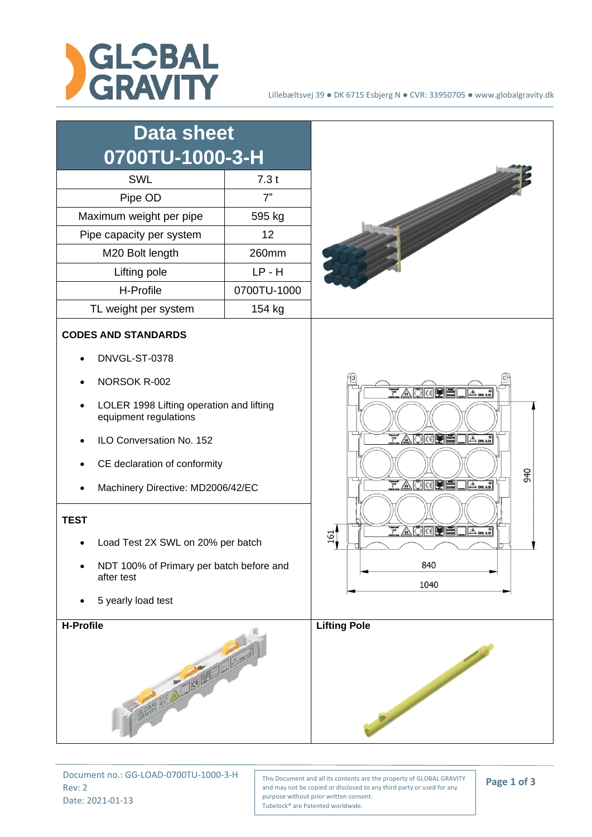

| <b>Data sheet</b><br>0700TU-1000-3-H<br><b>SWL</b><br>Pipe OD<br>Maximum weight per pipe<br>Pipe capacity per system<br>M20 Bolt length<br>Lifting pole<br>H-Profile                                                                                                                                                                                                                                                        | 7.3t<br>7"<br>595 kg<br>12<br>260mm<br>$LP - H$<br>0700TU-1000 |                                                                                                                                                                                                                                                              |
|-----------------------------------------------------------------------------------------------------------------------------------------------------------------------------------------------------------------------------------------------------------------------------------------------------------------------------------------------------------------------------------------------------------------------------|----------------------------------------------------------------|--------------------------------------------------------------------------------------------------------------------------------------------------------------------------------------------------------------------------------------------------------------|
| 154 kg<br>TL weight per system<br><b>CODES AND STANDARDS</b><br>DNVGL-ST-0378<br>NORSOK R-002<br>LOLER 1998 Lifting operation and lifting<br>equipment regulations<br>ILO Conversation No. 152<br>CE declaration of conformity<br>Machinery Directive: MD2006/42/EC<br><b>TEST</b><br>Load Test 2X SWL on 20% per batch<br>NDT 100% of Primary per batch before and<br>after test<br>5 yearly load test<br><b>H-Profile</b> |                                                                | $7$ $\triangle$ $\odot$ $\odot$ $\blacksquare$<br>$\sqrt{A}$ sm 6.00<br><b>TAORPE</b><br>$A$ <sub>5</sub> $\otimes$<br>940<br><b>TAOGRE</b><br>$A \otimes R$<br><u>TAOGPE</u><br>$\Delta$ SM 6.0<br>$\Xi$ <sup>1</sup><br>840<br>1040<br><b>Lifting Pole</b> |
| CRAPTY 325 A LICENSON                                                                                                                                                                                                                                                                                                                                                                                                       |                                                                |                                                                                                                                                                                                                                                              |

Document no.: GG-LOAD-0700TU-1000-3-H Rev: 2 Date: 2021-01-13

This Document and all its contents are the property of GLOBAL GRAVITY and may not be copied or disclosed to any third party or used for any purpose without prior written consent. Tubelock® are Patented worldwide.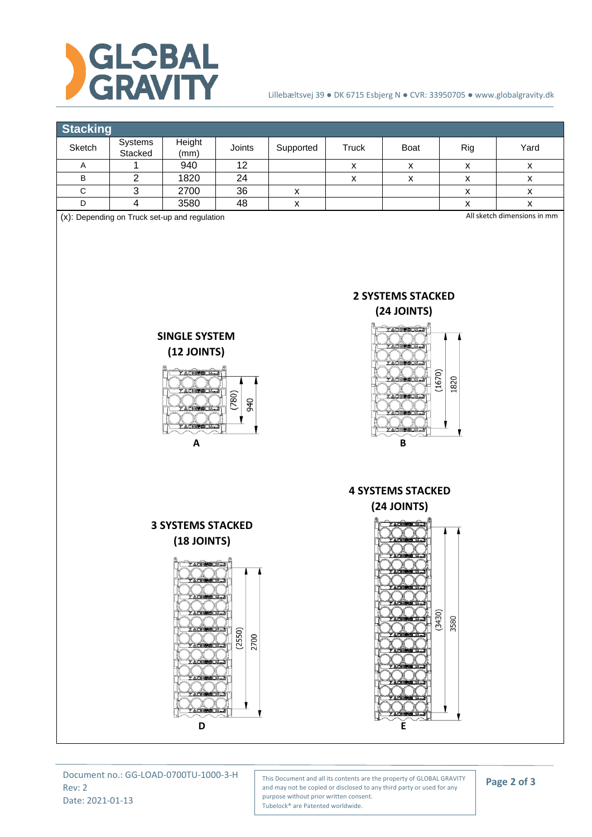

## Lillebæltsvej 39 ● DK 6715 Esbjerg N ● CVR: 33950705 ● www.globalgravity.dk



This Document and all its contents are the property of GLOBAL GRAVITY and may not be copied or disclosed to any third party or used for any purpose without prior written consent. Tubelock® are Patented worldwide.